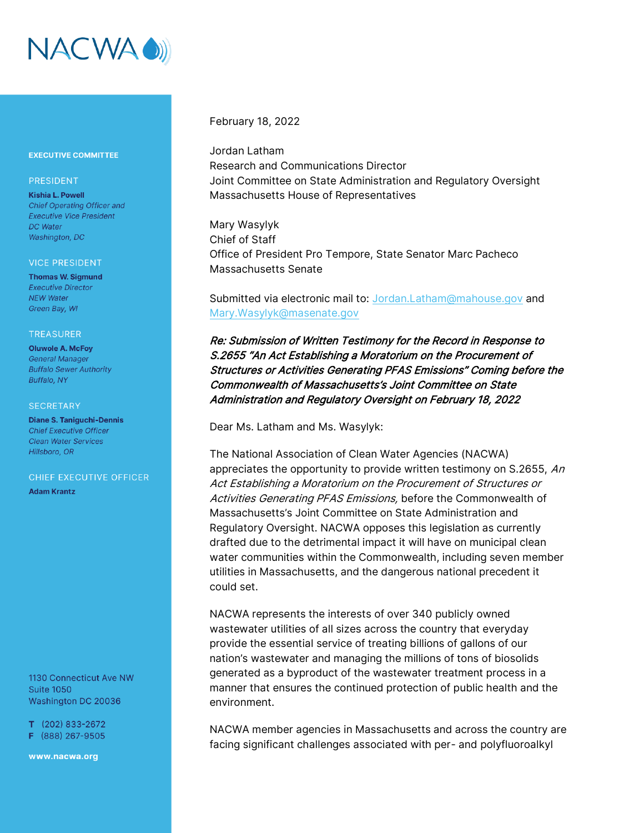

### **EXECUTIVE COMMITTEE**

### PRESIDENT

**Kishia L. Powell Chief Operating Officer and Executive Vice President** DC Water Washington, DC

### **VICE PRESIDENT**

**Thomas W. Sigmund Executive Director NEW Water** Green Bay, WI

### **TREASURER**

**Oluwole A. McFoy General Manager Buffalo Sewer Authority Buffalo, NY** 

#### **SECRETARY**

**Diane S. Taniquchi-Dennis Chief Executive Officer Clean Water Services** Hillsboro, OR

## CHIEF EXECUTIVE OFFICER

**Adam Krantz** 

1130 Connecticut Ave NW **Suite 1050** Washington DC 20036

 $T$  (202) 833-2672 F (888) 267-9505

www.nacwa.org

## February 18, 2022

Jordan Latham Research and Communications Director Joint Committee on State Administration and Regulatory Oversight Massachusetts House of Representatives

Mary Wasylyk Chief of Staff Office of President Pro Tempore, State Senator Marc Pacheco Massachusetts Senate

Submitted via electronic mail to: [Jordan.Latham@mahouse.gov](mailto:Jordan.Latham@mahouse.gov) and [Mary.Wasylyk@masenate.gov](mailto:Mary.Wasylyk@masenate.gov)

Re: Submission of Written Testimony for the Record in Response to S.2655 "An Act Establishing a Moratorium on the Procurement of Structures or Activities Generating PFAS Emissions" Coming before the Commonwealth of Massachusetts's Joint Committee on State Administration and Regulatory Oversight on February 18, 2022

Dear Ms. Latham and Ms. Wasylyk:

The National Association of Clean Water Agencies (NACWA) appreciates the opportunity to provide written testimony on S.2655, An Act Establishing a Moratorium on the Procurement of Structures or Activities Generating PFAS Emissions, before the Commonwealth of Massachusetts's Joint Committee on State Administration and Regulatory Oversight. NACWA opposes this legislation as currently drafted due to the detrimental impact it will have on municipal clean water communities within the Commonwealth, including seven member utilities in Massachusetts, and the dangerous national precedent it could set.

NACWA represents the interests of over 340 publicly owned wastewater utilities of all sizes across the country that everyday provide the essential service of treating billions of gallons of our nation's wastewater and managing the millions of tons of biosolids generated as a byproduct of the wastewater treatment process in a manner that ensures the continued protection of public health and the environment.

NACWA member agencies in Massachusetts and across the country are facing significant challenges associated with per- and polyfluoroalkyl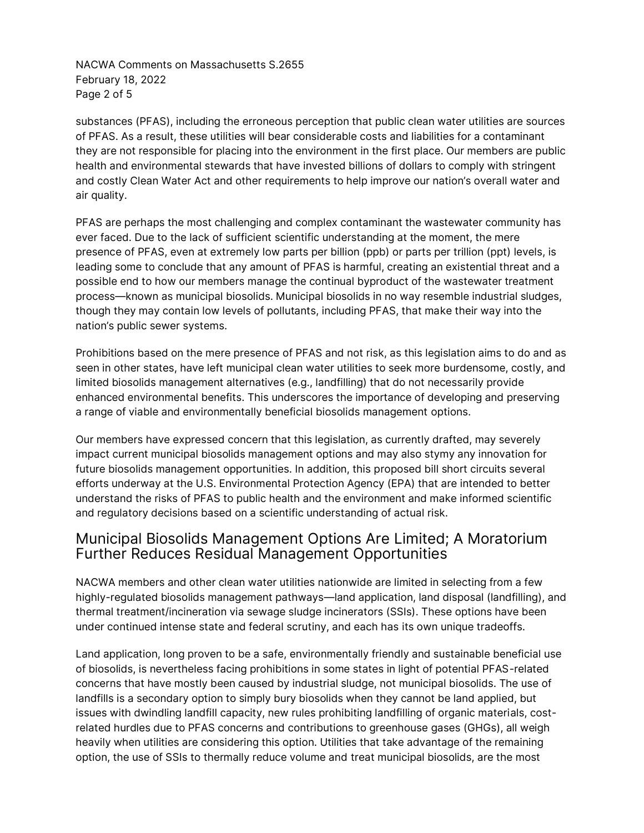NACWA Comments on Massachusetts S.2655 February 18, 2022 Page 2 of 5

substances (PFAS), including the erroneous perception that public clean water utilities are sources of PFAS. As a result, these utilities will bear considerable costs and liabilities for a contaminant they are not responsible for placing into the environment in the first place. Our members are public health and environmental stewards that have invested billions of dollars to comply with stringent and costly Clean Water Act and other requirements to help improve our nation's overall water and air quality.

PFAS are perhaps the most challenging and complex contaminant the wastewater community has ever faced. Due to the lack of sufficient scientific understanding at the moment, the mere presence of PFAS, even at extremely low parts per billion (ppb) or parts per trillion (ppt) levels, is leading some to conclude that any amount of PFAS is harmful, creating an existential threat and a possible end to how our members manage the continual byproduct of the wastewater treatment process—known as municipal biosolids. Municipal biosolids in no way resemble industrial sludges, though they may contain low levels of pollutants, including PFAS, that make their way into the nation's public sewer systems.

Prohibitions based on the mere presence of PFAS and not risk, as this legislation aims to do and as seen in other states, have left municipal clean water utilities to seek more burdensome, costly, and limited biosolids management alternatives (e.g., landfilling) that do not necessarily provide enhanced environmental benefits. This underscores the importance of developing and preserving a range of viable and environmentally beneficial biosolids management options.

Our members have expressed concern that this legislation, as currently drafted, may severely impact current municipal biosolids management options and may also stymy any innovation for future biosolids management opportunities. In addition, this proposed bill short circuits several efforts underway at the U.S. Environmental Protection Agency (EPA) that are intended to better understand the risks of PFAS to public health and the environment and make informed scientific and regulatory decisions based on a scientific understanding of actual risk.

# Municipal Biosolids Management Options Are Limited; A Moratorium Further Reduces Residual Management Opportunities

NACWA members and other clean water utilities nationwide are limited in selecting from a few highly-regulated biosolids management pathways—land application, land disposal (landfilling), and thermal treatment/incineration via sewage sludge incinerators (SSIs). These options have been under continued intense state and federal scrutiny, and each has its own unique tradeoffs.

Land application, long proven to be a safe, environmentally friendly and sustainable beneficial use of biosolids, is nevertheless facing prohibitions in some states in light of potential PFAS-related concerns that have mostly been caused by industrial sludge, not municipal biosolids. The use of landfills is a secondary option to simply bury biosolids when they cannot be land applied, but issues with dwindling landfill capacity, new rules prohibiting landfilling of organic materials, costrelated hurdles due to PFAS concerns and contributions to greenhouse gases (GHGs), all weigh heavily when utilities are considering this option. Utilities that take advantage of the remaining option, the use of SSIs to thermally reduce volume and treat municipal biosolids, are the most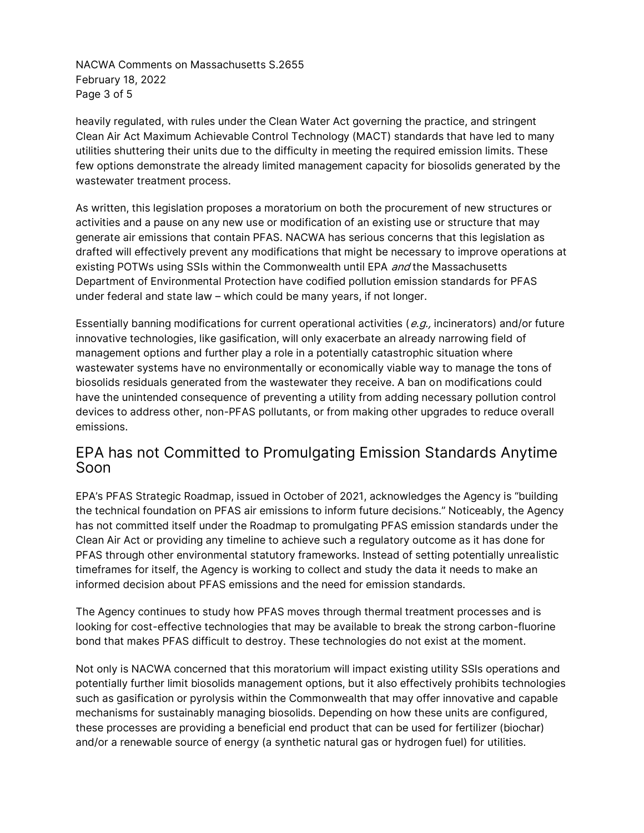NACWA Comments on Massachusetts S.2655 February 18, 2022 Page 3 of 5

heavily regulated, with rules under the Clean Water Act governing the practice, and stringent Clean Air Act Maximum Achievable Control Technology (MACT) standards that have led to many utilities shuttering their units due to the difficulty in meeting the required emission limits. These few options demonstrate the already limited management capacity for biosolids generated by the wastewater treatment process.

As written, this legislation proposes a moratorium on both the procurement of new structures or activities and a pause on any new use or modification of an existing use or structure that may generate air emissions that contain PFAS. NACWA has serious concerns that this legislation as drafted will effectively prevent any modifications that might be necessary to improve operations at existing POTWs using SSIs within the Commonwealth until EPA and the Massachusetts Department of Environmental Protection have codified pollution emission standards for PFAS under federal and state law – which could be many years, if not longer.

Essentially banning modifications for current operational activities ( $e.g.,$  incinerators) and/or future innovative technologies, like gasification, will only exacerbate an already narrowing field of management options and further play a role in a potentially catastrophic situation where wastewater systems have no environmentally or economically viable way to manage the tons of biosolids residuals generated from the wastewater they receive. A ban on modifications could have the unintended consequence of preventing a utility from adding necessary pollution control devices to address other, non-PFAS pollutants, or from making other upgrades to reduce overall emissions.

# EPA has not Committed to Promulgating Emission Standards Anytime Soon

EPA's PFAS Strategic Roadmap, issued in October of 2021, acknowledges the Agency is "building the technical foundation on PFAS air emissions to inform future decisions." Noticeably, the Agency has not committed itself under the Roadmap to promulgating PFAS emission standards under the Clean Air Act or providing any timeline to achieve such a regulatory outcome as it has done for PFAS through other environmental statutory frameworks. Instead of setting potentially unrealistic timeframes for itself, the Agency is working to collect and study the data it needs to make an informed decision about PFAS emissions and the need for emission standards.

The Agency continues to study how PFAS moves through thermal treatment processes and is looking for cost-effective technologies that may be available to break the strong carbon-fluorine bond that makes PFAS difficult to destroy. These technologies do not exist at the moment.

Not only is NACWA concerned that this moratorium will impact existing utility SSIs operations and potentially further limit biosolids management options, but it also effectively prohibits technologies such as gasification or pyrolysis within the Commonwealth that may offer innovative and capable mechanisms for sustainably managing biosolids. Depending on how these units are configured, these processes are providing a beneficial end product that can be used for fertilizer (biochar) and/or a renewable source of energy (a synthetic natural gas or hydrogen fuel) for utilities.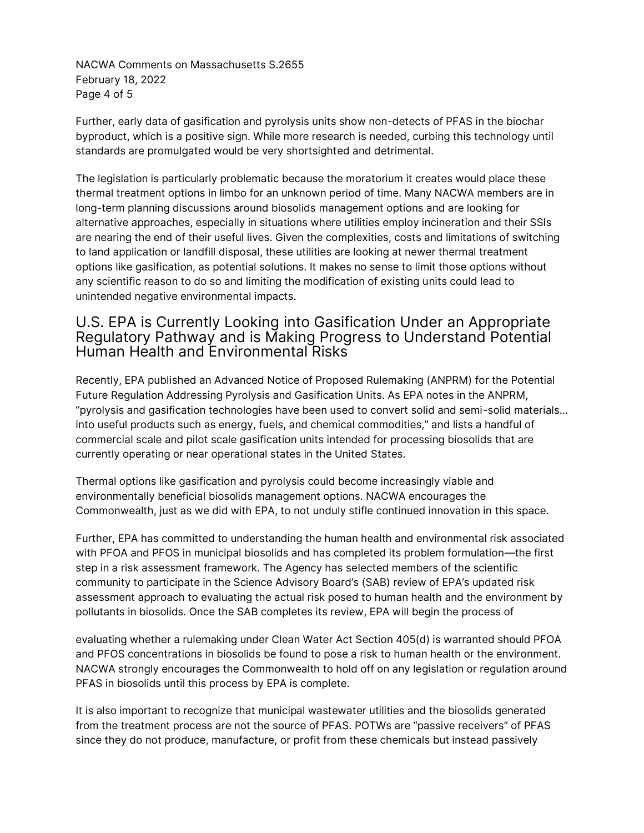NACWA Comments on Massachusetts S.2655 February 18, 2022 Page 4 of 5

Further, early data of gasification and pyrolysis units show non-detects of PFAS in the biochar byproduct, which is a positive sign. While more research is needed, curbing this technology until standards are promulgated would be very shortsighted and detrimental.

The legislation is particularly problematic because the moratorium it creates would place these thermal treatment options in limbo for an unknown period of time. Many NACWA members are in long-term planning discussions around biosolids management options and are looking for alternative approaches, especially in situations where utilities employ incineration and their SSIs are nearing the end of their useful lives. Given the complexities, costs and limitations of switching to land application or landfill disposal, these utilities are looking at newer thermal treatment options like gasification, as potential solutions. It makes no sense to limit those options without any scientific reason to do so and limiting the modification of existing units could lead to unintended negative environmental impacts.

# U.S. EPA is Currently Looking into Gasification Under an Appropriate Regulatory Pathway and is Making Progress to Understand Potential Human Health and Environmental Risks

Recently, EPA published an Advanced Notice of Proposed Rulemaking (ANPRM) for the Potential Future Regulation Addressing Pyrolysis and Gasification Units. As EPA notes in the ANPRM, "pyrolysis and gasification technologies have been used to convert solid and semi-solid materials… into useful products such as energy, fuels, and chemical commodities," and lists a handful of commercial scale and pilot scale gasification units intended for processing biosolids that are currently operating or near operational states in the United States.

Thermal options like gasification and pyrolysis could become increasingly viable and environmentally beneficial biosolids management options. NACWA encourages the Commonwealth, just as we did with EPA, to not unduly stifle continued innovation in this space.

Further, EPA has committed to understanding the human health and environmental risk associated with PFOA and PFOS in municipal biosolids and has completed its problem formulation—the first step in a risk assessment framework. The Agency has selected members of the scientific community to participate in the Science Advisory Board's (SAB) review of EPA's updated risk assessment approach to evaluating the actual risk posed to human health and the environment by pollutants in biosolids. Once the SAB completes its review, EPA will begin the process of

evaluating whether a rulemaking under Clean Water Act Section 405(d) is warranted should PFOA and PFOS concentrations in biosolids be found to pose a risk to human health or the environment. NACWA strongly encourages the Commonwealth to hold off on any legislation or regulation around PFAS in biosolids until this process by EPA is complete.

It is also important to recognize that municipal wastewater utilities and the biosolids generated from the treatment process are not the source of PFAS. POTWs are "passive receivers" of PFAS since they do not produce, manufacture, or profit from these chemicals but instead passively